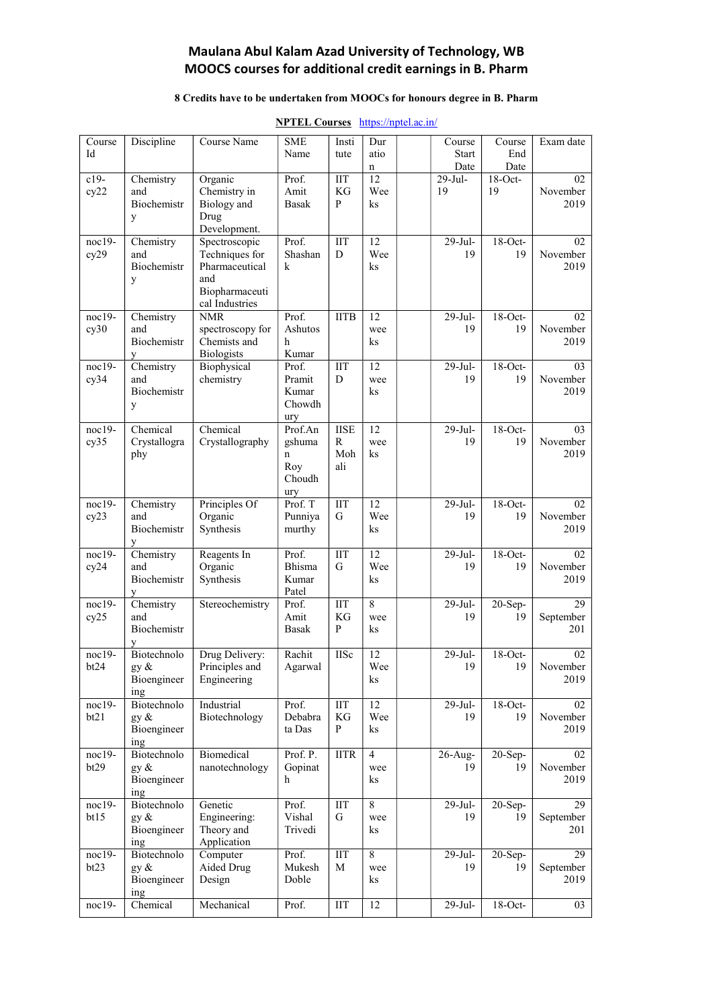### Maulana Abul Kalam Azad University of Technology, WB MOOCS courses for additional credit earnings in B. Pharm

#### 8 Credits have to be undertaken from MOOCs for honours degree in B. Pharm

| Course<br>Id     | Discipline                                   | Course Name                                                                                  | <b>SME</b><br>Name                             | Insti<br>tute                                 | Dur<br>atio                    | Course<br><b>Start</b><br>Date | Course<br>End           | Exam date               |
|------------------|----------------------------------------------|----------------------------------------------------------------------------------------------|------------------------------------------------|-----------------------------------------------|--------------------------------|--------------------------------|-------------------------|-------------------------|
| $c19-$<br>cy22   | Chemistry<br>and<br>Biochemistr<br>y         | Organic<br>Chemistry in<br>Biology and<br>Drug<br>Development.                               | Prof.<br>Amit<br><b>Basak</b>                  | $\overline{\text{IIT}}$<br>KG<br>$\mathbf{P}$ | $\mathbf n$<br>12<br>Wee<br>ks | 29-Jul-<br>19                  | Date<br>$18-Oct-$<br>19 | 02<br>November<br>2019  |
| $noc19-$<br>cy29 | Chemistry<br>and<br>Biochemistr<br>y         | Spectroscopic<br>Techniques for<br>Pharmaceutical<br>and<br>Biopharmaceuti<br>cal Industries | Prof.<br>Shashan<br>k                          | <b>IIT</b><br>D                               | 12<br>Wee<br>ks                | 29-Jul-<br>19                  | $18-Oct-$<br>19         | 02<br>November<br>2019  |
| $noc19-$<br>cy30 | Chemistry<br>and<br>Biochemistr<br>y         | <b>NMR</b><br>spectroscopy for<br>Chemists and<br><b>Biologists</b>                          | Prof.<br>Ashutos<br>h<br>Kumar                 | <b>IITB</b>                                   | 12<br>wee<br>ks                | $29-Jul-$<br>19                | 18-Oct-<br>19           | 02<br>November<br>2019  |
| $noc19-$<br>cy34 | Chemistry<br>and<br>Biochemistr<br>У         | Biophysical<br>chemistry                                                                     | Prof.<br>Pramit<br>Kumar<br>Chowdh<br>ury      | <b>IIT</b><br>D                               | 12<br>wee<br>ks                | $29-Jul-$<br>19                | $18-Oct-$<br>19         | 03<br>November<br>2019  |
| $noc19-$<br>cy35 | Chemical<br>Crystallogra<br>phy              | Chemical<br>Crystallography                                                                  | Prof.An<br>gshuma<br>n<br>Roy<br>Choudh<br>ury | <b>IISE</b><br>R<br>Moh<br>ali                | 12<br>wee<br>ks                | 29-Jul-<br>19                  | $18$ -Oct-<br>19        | 03<br>November<br>2019  |
| $noc19-$<br>cy23 | Chemistry<br>and<br>Biochemistr              | Principles Of<br>Organic<br>Synthesis                                                        | Prof. T<br>Punniya<br>murthy                   | <b>IIT</b><br>G                               | $\overline{12}$<br>Wee<br>ks   | $29-Ju$ ]-<br>19               | 18-Oct-<br>19           | 02<br>November<br>2019  |
| $noc19-$<br>cy24 | Chemistry<br>and<br>Biochemistr<br>У         | Reagents In<br>Organic<br>Synthesis                                                          | Prof.<br>Bhisma<br>Kumar<br>Patel              | <b>IIT</b><br>G                               | 12<br>Wee<br>ks                | $29-Jul-$<br>19                | $18-Oct-$<br>19         | 02<br>November<br>2019  |
| $noc19-$<br>cy25 | Chemistry<br>and<br>Biochemistr              | Stereochemistry                                                                              | Prof.<br>Amit<br>Basak                         | <b>IIT</b><br>KG<br>P                         | 8<br>wee<br>ks                 | $29$ -Jul-<br>19               | $20-Sep-$<br>19         | 29<br>September<br>201  |
| noc19-<br>bt24   | Biotechnolo<br>gy $\&$<br>Bioengineer<br>ing | Drug Delivery:<br>Principles and<br>Engineering                                              | Rachit<br>Agarwal                              | <b>IISc</b>                                   | 12<br>Wee<br>ks                | $29-Jul-$<br>19                | $18-Oct-$<br>19         | 02<br>November<br>2019  |
| noc19-<br>bt21   | Biotechnolo<br>gy &<br>Bioengineer<br>ing    | Industrial<br>Biotechnology                                                                  | Prof.<br>Debabra<br>ta Das                     | <b>IIT</b><br>$\mathbf{KG}$<br>P              | 12<br>Wee<br>ks                | $29-Jul-$<br>19                | $18-Oct-$<br>19         | 02<br>November<br>2019  |
| $noc19-$<br>bt29 | Biotechnolo<br>gy &<br>Bioengineer<br>ing    | Biomedical<br>nanotechnology                                                                 | Prof. P.<br>Gopinat<br>h                       | <b>IITR</b>                                   | $\overline{4}$<br>wee<br>ks    | $26$ -Aug-<br>19               | $20-Sep-$<br>19         | 02<br>November<br>2019  |
| noc19-<br>bt15   | Biotechnolo<br>gy &<br>Bioengineer<br>ing    | Genetic<br>Engineering:<br>Theory and<br>Application                                         | Prof.<br>Vishal<br>Trivedi                     | $\rm{IIT}$<br>G                               | $\overline{8}$<br>wee<br>ks    | $29-Jul-$<br>19                | $20-Sep-$<br>19         | 29<br>September<br>201  |
| noc19-<br>bt23   | Biotechnolo<br>gy &<br>Bioengineer<br>ing    | Computer<br>Aided Drug<br>Design                                                             | Prof.<br>Mukesh<br>Doble                       | <b>IIT</b><br>M                               | $\overline{8}$<br>wee<br>ks    | 29-Jul-<br>19                  | $20-Sep-$<br>19         | 29<br>September<br>2019 |
| noc19-           | Chemical                                     | Mechanical                                                                                   | Prof.                                          | $\rm{IIT}$                                    | 12                             | $29-Jul-$                      | $18$ -Oct-              | 03                      |

#### NPTEL Courses https://nptel.ac.in/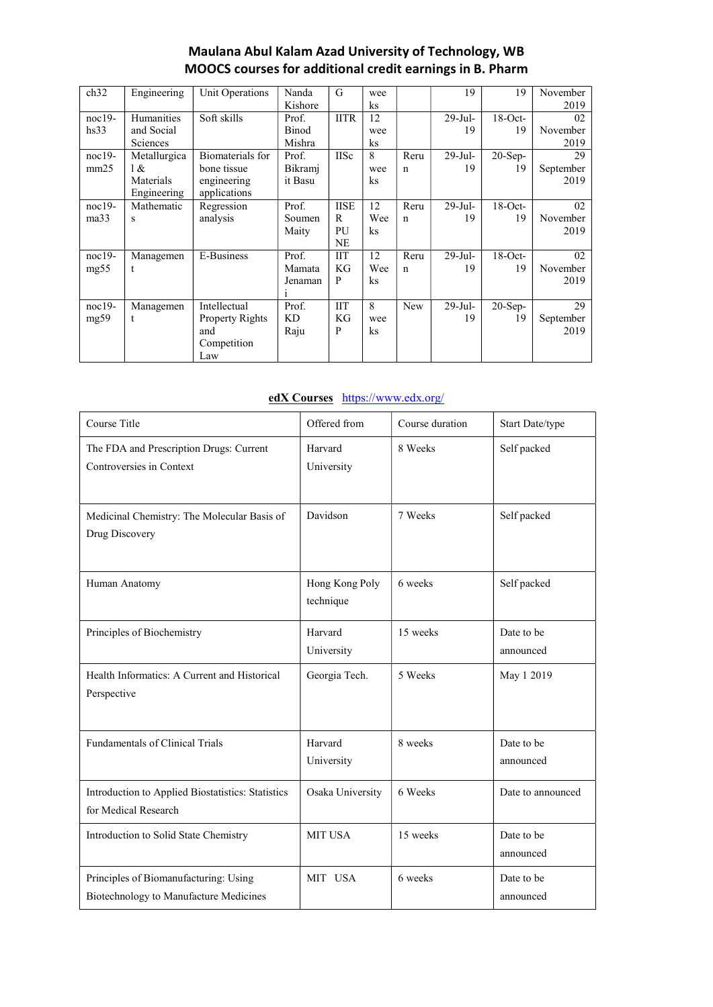## Maulana Abul Kalam Azad University of Technology, WB MOOCS courses for additional credit earnings in B. Pharm

| ch32     | Engineering       | Unit Operations        | Nanda   | G           | wee      |             | 19         | 19         | November  |
|----------|-------------------|------------------------|---------|-------------|----------|-------------|------------|------------|-----------|
|          |                   |                        | Kishore |             | ks       |             |            |            | 2019      |
| $noc19-$ | <b>Humanities</b> | Soft skills            | Prof.   | <b>IITR</b> | 12       |             | $29$ -Jul- | $18$ -Oct- | 02        |
| hs33     | and Social        |                        | Binod   |             | wee      |             | 19         | 19         | November  |
|          | <b>Sciences</b>   |                        | Mishra  |             | ks       |             |            |            | 2019      |
| $noc19-$ | Metallurgica      | Biomaterials for       | Prof.   | <b>IISc</b> | 8        | Reru        | $29-Jul-$  | $20-Sep-$  | 29        |
| mm25     | 1 &               | bone tissue            | Bikramj |             | wee      | $\mathbf n$ | 19         | 19         | September |
|          | Materials         | engineering            | it Basu |             | ks       |             |            |            | 2019      |
|          | Engineering       | applications           |         |             |          |             |            |            |           |
| $noc19-$ | Mathematic        | Regression             | Prof.   | <b>IISE</b> | 12       | Reru        | $29$ -Jul- | $18$ -Oct- | 02        |
| ma33     | s                 | analysis               | Soumen  | R           | Wee      | $\mathbf n$ | 19         | 19         | November  |
|          |                   |                        | Maity   | PU          | $\rm ks$ |             |            |            | 2019      |
|          |                   |                        |         | NE          |          |             |            |            |           |
| $noc19-$ | Managemen         | E-Business             | Prof.   | ШT          | 12       | Reru        | $29$ -Jul- | $18$ -Oct- | 02        |
| mg55     | t                 |                        | Mamata  | KG          | Wee      | $\mathbf n$ | 19         | 19         | November  |
|          |                   |                        | Jenaman | P           | ks       |             |            |            | 2019      |
|          |                   |                        | 1       |             |          |             |            |            |           |
| $noc19-$ | Managemen         | Intellectual           | Prof.   | <b>IIT</b>  | 8        | New         | 29-Jul-    | $20-Sep-$  | 29        |
| mg59     | t                 | <b>Property Rights</b> | KD      | KG          | wee      |             | 19         | 19         | September |
|          |                   | and                    | Raju    | P           | $\rm ks$ |             |            |            | 2019      |
|          |                   | Competition            |         |             |          |             |            |            |           |
|          |                   | Law                    |         |             |          |             |            |            |           |

### edX Courses https://www.edx.org/

| Course Title                                                                    | Offered from                | Course duration | Start Date/type         |  |
|---------------------------------------------------------------------------------|-----------------------------|-----------------|-------------------------|--|
| The FDA and Prescription Drugs: Current<br>Controversies in Context             | Harvard<br>University       | 8 Weeks         | Self packed             |  |
| Medicinal Chemistry: The Molecular Basis of<br>Drug Discovery                   | Davidson                    | 7 Weeks         | Self packed             |  |
| Human Anatomy                                                                   | Hong Kong Poly<br>technique | 6 weeks         | Self packed             |  |
| Principles of Biochemistry                                                      | Harvard<br>University       | 15 weeks        | Date to be<br>announced |  |
| Health Informatics: A Current and Historical<br>Perspective                     | Georgia Tech.               | 5 Weeks         | May 1 2019              |  |
| <b>Fundamentals of Clinical Trials</b>                                          | Harvard<br>University       | 8 weeks         | Date to be<br>announced |  |
| Introduction to Applied Biostatistics: Statistics<br>for Medical Research       | Osaka University            | 6 Weeks         | Date to announced       |  |
| Introduction to Solid State Chemistry                                           | <b>MIT USA</b>              | 15 weeks        | Date to be<br>announced |  |
| Principles of Biomanufacturing: Using<br>Biotechnology to Manufacture Medicines | MIT USA                     | 6 weeks         | Date to be<br>announced |  |